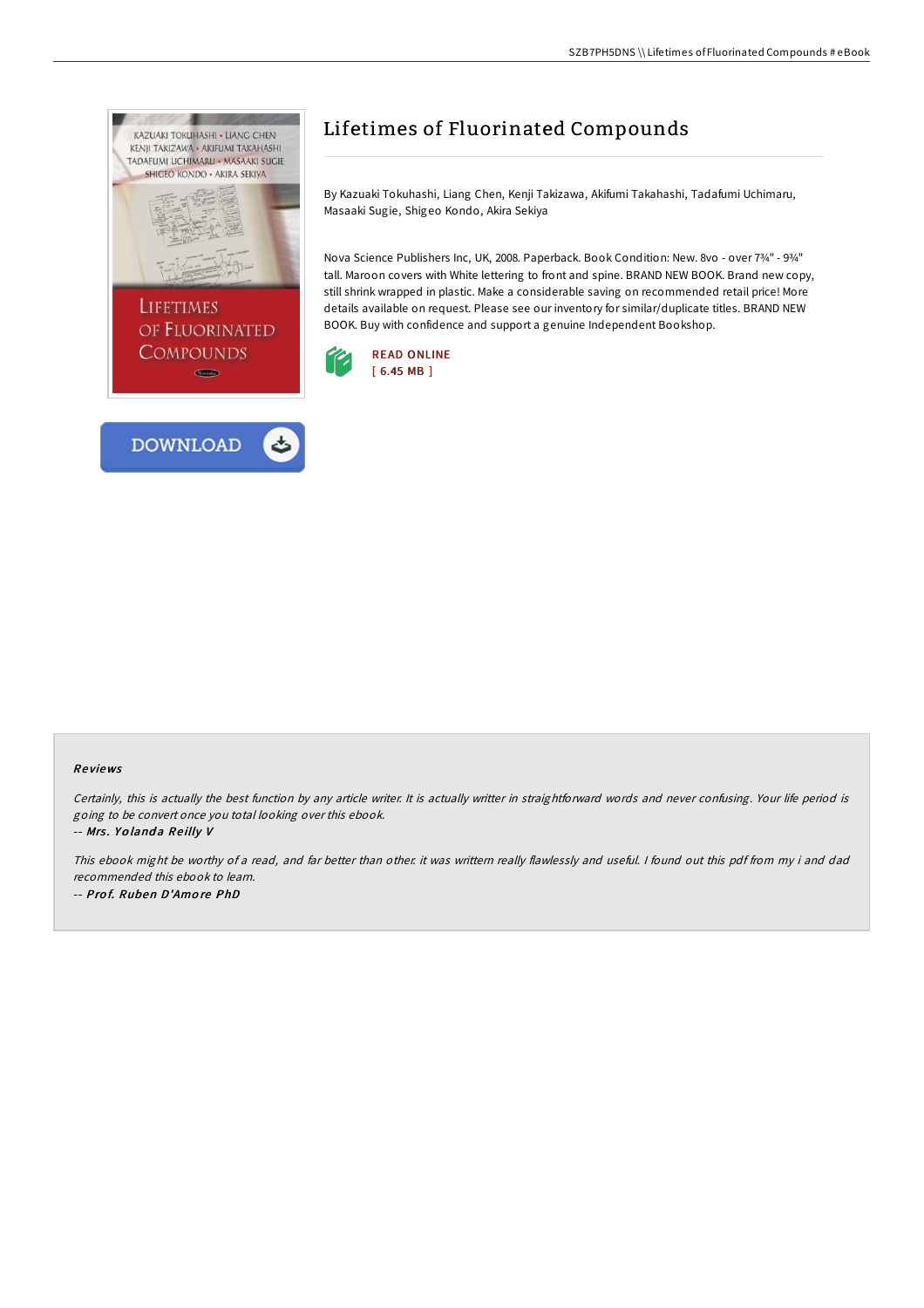

## Lifetimes of Fluorinated Compounds

By Kazuaki Tokuhashi, Liang Chen, Kenji Takizawa, Akifumi Takahashi, Tadafumi Uchimaru, Masaaki Sugie, Shigeo Kondo, Akira Sekiya

Nova Science Publishers Inc, UK, 2008. Paperback. Book Condition: New. 8vo - over 7¾" - 9¾" tall. Maroon covers with White lettering to front and spine. BRAND NEW BOOK. Brand new copy, still shrink wrapped in plastic. Make a considerable saving on recommended retail price! More details available on request. Please see our inventory for similar/duplicate titles. BRAND NEW BOOK. Buy with confidence and support a genuine Independent Bookshop.



## Re views

Certainly, this is actually the best function by any article writer. It is actually writter in straightforward words and never confusing. Your life period is going to be convert once you total looking over this ebook. -- Mrs. Yolanda Reilly V

This ebook might be worthy of <sup>a</sup> read, and far better than other. it was writtern really flawlessly and useful. <sup>I</sup> found out this pdf from my i and dad recommended this ebook to learn. -- Pro f. Ruben D'Amo re PhD